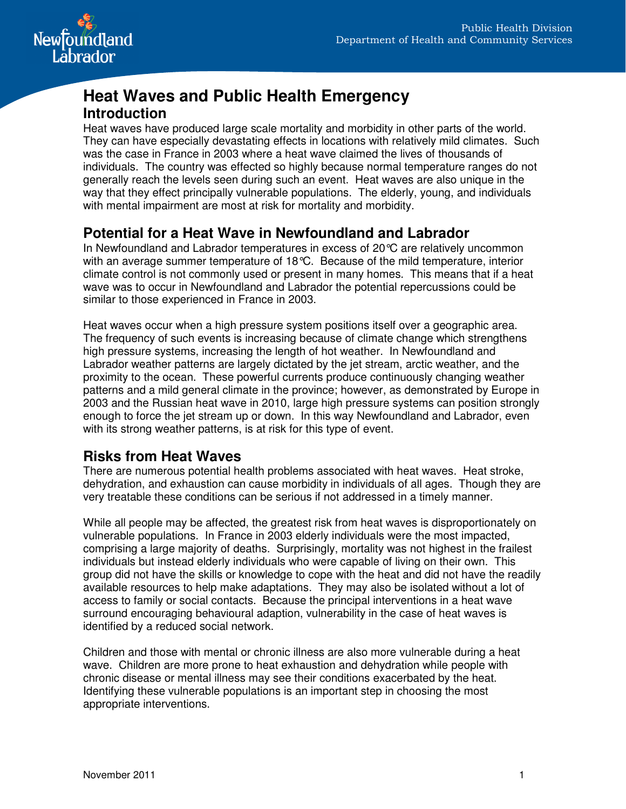

# **Heat Waves and Public Health Emergency Introduction**

Heat waves have produced large scale mortality and morbidity in other parts of the world. They can have especially devastating effects in locations with relatively mild climates. Such was the case in France in 2003 where a heat wave claimed the lives of thousands of individuals. The country was effected so highly because normal temperature ranges do not generally reach the levels seen during such an event. Heat waves are also unique in the way that they effect principally vulnerable populations. The elderly, young, and individuals with mental impairment are most at risk for mortality and morbidity.

# **Potential for a Heat Wave in Newfoundland and Labrador**

In Newfoundland and Labrador temperatures in excess of 20°C are relatively uncommon with an average summer temperature of 18°C. Because of the mild temperature, interior climate control is not commonly used or present in many homes. This means that if a heat wave was to occur in Newfoundland and Labrador the potential repercussions could be similar to those experienced in France in 2003.

Heat waves occur when a high pressure system positions itself over a geographic area. The frequency of such events is increasing because of climate change which strengthens high pressure systems, increasing the length of hot weather. In Newfoundland and Labrador weather patterns are largely dictated by the jet stream, arctic weather, and the proximity to the ocean. These powerful currents produce continuously changing weather patterns and a mild general climate in the province; however, as demonstrated by Europe in 2003 and the Russian heat wave in 2010, large high pressure systems can position strongly enough to force the jet stream up or down. In this way Newfoundland and Labrador, even with its strong weather patterns, is at risk for this type of event.

# **Risks from Heat Waves**

There are numerous potential health problems associated with heat waves. Heat stroke, dehydration, and exhaustion can cause morbidity in individuals of all ages. Though they are very treatable these conditions can be serious if not addressed in a timely manner.

While all people may be affected, the greatest risk from heat waves is disproportionately on vulnerable populations. In France in 2003 elderly individuals were the most impacted, comprising a large majority of deaths. Surprisingly, mortality was not highest in the frailest individuals but instead elderly individuals who were capable of living on their own. This group did not have the skills or knowledge to cope with the heat and did not have the readily available resources to help make adaptations. They may also be isolated without a lot of access to family or social contacts. Because the principal interventions in a heat wave surround encouraging behavioural adaption, vulnerability in the case of heat waves is identified by a reduced social network.

Children and those with mental or chronic illness are also more vulnerable during a heat wave. Children are more prone to heat exhaustion and dehydration while people with chronic disease or mental illness may see their conditions exacerbated by the heat. Identifying these vulnerable populations is an important step in choosing the most appropriate interventions.